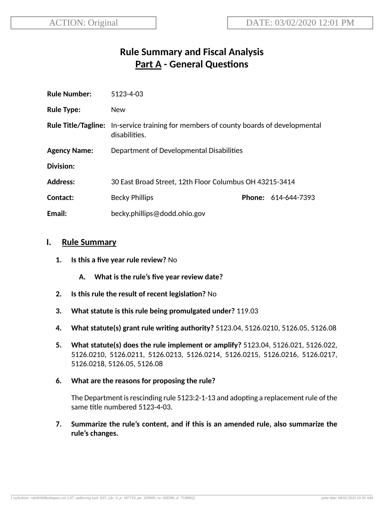# **Rule Summary and Fiscal Analysis Part A - General Questions**

| <b>Rule Number:</b> | 5123-4-03                                                                                                     |  |                            |
|---------------------|---------------------------------------------------------------------------------------------------------------|--|----------------------------|
| <b>Rule Type:</b>   | <b>New</b>                                                                                                    |  |                            |
|                     | <b>Rule Title/Tagline:</b> In-service training for members of county boards of developmental<br>disabilities. |  |                            |
| <b>Agency Name:</b> | Department of Developmental Disabilities                                                                      |  |                            |
| Division:           |                                                                                                               |  |                            |
| <b>Address:</b>     | 30 East Broad Street, 12th Floor Columbus OH 43215-3414                                                       |  |                            |
| Contact:            | <b>Becky Phillips</b>                                                                                         |  | <b>Phone: 614-644-7393</b> |
| Email:              | becky.phillips@dodd.ohio.gov                                                                                  |  |                            |

#### **I. Rule Summary**

- **1. Is this a five year rule review?** No
	- **A. What is the rule's five year review date?**
- **2.** Is this rule the result of recent legislation? No
- **3. What statute is this rule being promulgated under?** 119.03
- **4. What statute(s) grant rule wring authority?** 5123.04, 5126.0210, 5126.05, 5126.08
- **5. What statute(s) does the rule implement or amplify?** 5123.04, 5126.021, 5126.022, 5126.0210, 5126.0211, 5126.0213, 5126.0214, 5126.0215, 5126.0216, 5126.0217, 5126.0218, 5126.05, 5126.08
- **6. What are the reasons for proposing the rule?**

The Department is rescinding rule  $5123:2-1-13$  and adopting a replacement rule of the same title numbered 5123-4-03.

**7. Summarize the rule's content, and if this is an amended rule, also summarize the rule's changes.**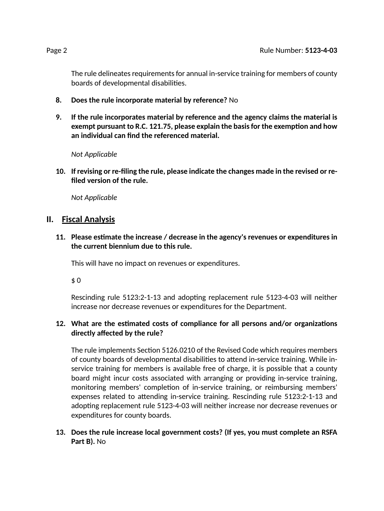The rule delineates requirements for annual in-service training for members of county boards of developmental disabilities.

- **8. Does the rule incorporate material by reference?** No
- **9. If the rule incorporates material by reference and the agency claims the material is exempt pursuant to R.C. 121.75, please explain the basisfor the exempon and how an individual can find the referenced material.**

*Not Applicable*

**10. If revising or re-filing the rule, please indicate the changes made in the revised or refiled version of the rule.**

*Not Applicable*

### **II. Fiscal Analysis**

**11. Please esmate the increase / decrease in the agency's revenues or expenditures in the current biennium due to this rule.**

This will have no impact on revenues or expenditures.

\$ 0

Rescinding rule 5123:2-1-13 and adopting replacement rule 5123-4-03 will neither increase nor decrease revenues or expenditures for the Department.

#### **12. What are the esmated costs of compliance for all persons and/or organizaons directly affected by the rule?**

The rule implements Section 5126.0210 of the Revised Code which requires members of county boards of developmental disabilities to attend in-service training. While inservice training for members is available free of charge, it is possible that a county board might incur costs associated with arranging or providing in-service training, monitoring members' completion of in-service training, or reimbursing members' expenses related to attending in-service training. Rescinding rule 5123:2-1-13 and adopting replacement rule 5123-4-03 will neither increase nor decrease revenues or expenditures for county boards.

#### **13. Does the rule increase local government costs? (If yes, you must complete an RSFA Part B).** No